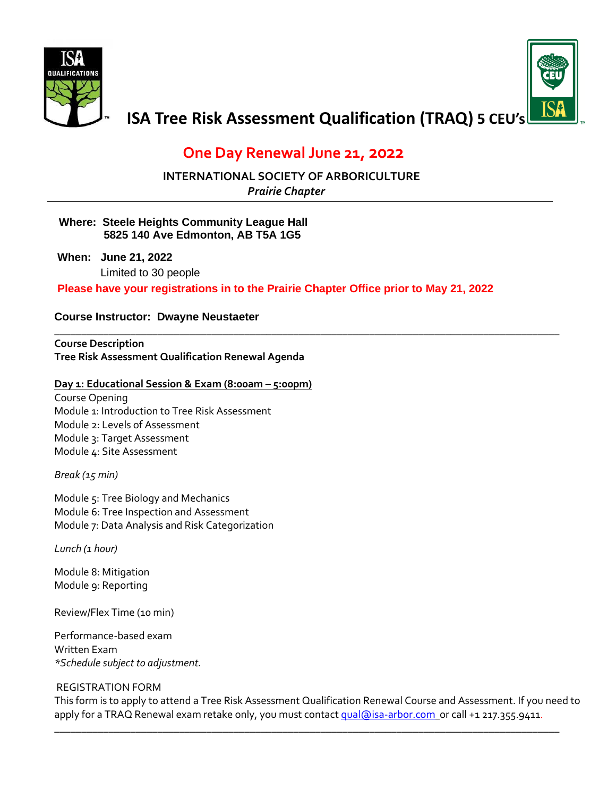



# **ISA Tree Risk Assessment Qualification (TRAQ) 5 CEU's**

# **One Day Renewal June 21, 2022**

**INTERNATIONAL SOCIETY OF ARBORICULTURE** 

 *Prairie Chapter*

#### **Where: Steele Heights Community League Hall 5825 140 Ave Edmonton, AB T5A 1G5**

**When: June 21, 2022** Limited to 30 people

**Please have your registrations in to the Prairie Chapter Office prior to May 21, 2022**

**\_\_\_\_\_\_\_\_\_\_\_\_\_\_\_\_\_\_\_\_\_\_\_\_\_\_\_\_\_\_\_\_\_\_\_\_\_\_\_\_\_\_\_\_\_\_\_\_\_\_\_\_\_\_\_\_\_\_\_\_\_\_\_\_\_\_\_\_\_\_\_\_\_\_\_\_\_\_\_\_\_\_\_\_\_\_\_\_\_\_\_\_\_**

#### **Course Instructor: Dwayne Neustaeter**

**Course Description Tree Risk Assessment Qualification Renewal Agenda**

#### **Day 1: Educational Session & Exam (8:00am – 5:00pm)**

Course Opening Module 1: Introduction to Tree Risk Assessment Module 2: Levels of Assessment Module 3: Target Assessment Module 4: Site Assessment

*Break (15 min)*

Module 5: Tree Biology and Mechanics Module 6: Tree Inspection and Assessment Module 7: Data Analysis and Risk Categorization

*Lunch (1 hour)*

Module 8: Mitigation Module 9: Reporting

Review/Flex Time (10 min)

Performance-based exam Written Exam *\*Schedule subject to adjustment.*

#### REGISTRATION FORM

This form is to apply to attend a Tree Risk Assessment Qualification Renewal Course and Assessment. If you need to apply for a TRAQ Renewal exam retake only, you must contact [qual@isa-arbor.com](mailto:qual@isa-arbor.com) or call +1 217.355.9411.

**\_\_\_\_\_\_\_\_\_\_\_\_\_\_\_\_\_\_\_\_\_\_\_\_\_\_\_\_\_\_\_\_\_\_\_\_\_\_\_\_\_\_\_\_\_\_\_\_\_\_\_\_\_\_\_\_\_\_\_\_\_\_\_\_\_\_\_\_\_\_\_\_\_\_\_\_\_\_\_\_\_\_\_\_\_\_\_\_\_\_\_\_\_**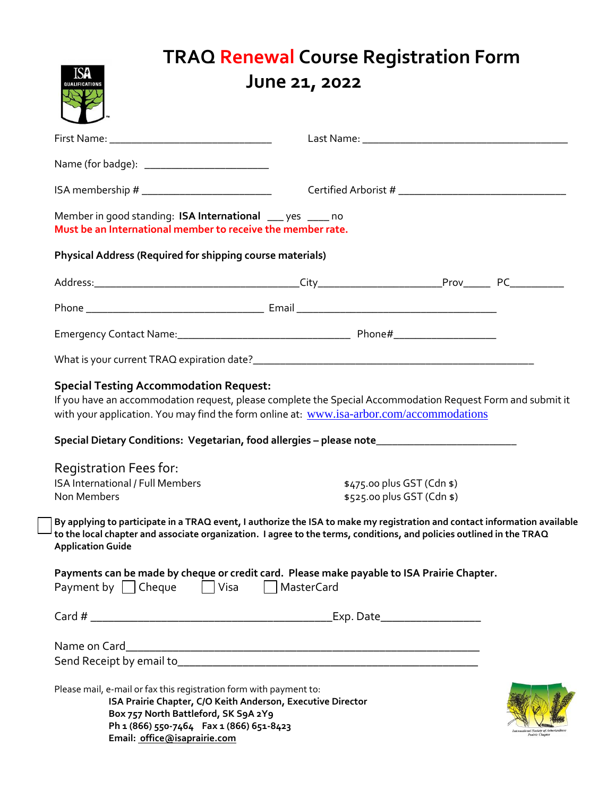| ISA<br><b>QUALIFICATION:</b>                                                                                                                                                                                                                                                                                                                                      | <b>TRAQ Renewal Course Registration Form</b><br>June 21, 2022 |                                                          |  |
|-------------------------------------------------------------------------------------------------------------------------------------------------------------------------------------------------------------------------------------------------------------------------------------------------------------------------------------------------------------------|---------------------------------------------------------------|----------------------------------------------------------|--|
|                                                                                                                                                                                                                                                                                                                                                                   |                                                               |                                                          |  |
|                                                                                                                                                                                                                                                                                                                                                                   |                                                               |                                                          |  |
| Member in good standing: ISA International ___ yes ____ no<br>Must be an International member to receive the member rate.                                                                                                                                                                                                                                         |                                                               |                                                          |  |
| Physical Address (Required for shipping course materials)                                                                                                                                                                                                                                                                                                         |                                                               |                                                          |  |
|                                                                                                                                                                                                                                                                                                                                                                   |                                                               |                                                          |  |
|                                                                                                                                                                                                                                                                                                                                                                   |                                                               |                                                          |  |
|                                                                                                                                                                                                                                                                                                                                                                   |                                                               |                                                          |  |
|                                                                                                                                                                                                                                                                                                                                                                   |                                                               |                                                          |  |
| <b>Special Testing Accommodation Request:</b><br>If you have an accommodation request, please complete the Special Accommodation Request Form and submit it<br>with your application. You may find the form online at: www.isa-arbor.com/accommodations                                                                                                           |                                                               |                                                          |  |
| Special Dietary Conditions: Vegetarian, food allergies - please note_______________________________                                                                                                                                                                                                                                                               |                                                               |                                                          |  |
| Registration Fees for:<br><b>ISA International / Full Members</b><br>Non Members<br>By applying to participate in a TRAQ event, I authorize the ISA to make my registration and contact information available<br>to the local chapter and associate organization. I agree to the terms, conditions, and policies outlined in the TRAQ<br><b>Application Guide</b> |                                                               | \$475.00 plus GST (Cdn \$)<br>\$525.00 plus GST (Cdn \$) |  |
| Payments can be made by cheque or credit card. Please make payable to ISA Prairie Chapter.<br>Payment by $\vert$   Cheque $\vert$   Visa                                                                                                                                                                                                                          | MasterCard                                                    |                                                          |  |
|                                                                                                                                                                                                                                                                                                                                                                   |                                                               |                                                          |  |
|                                                                                                                                                                                                                                                                                                                                                                   |                                                               |                                                          |  |